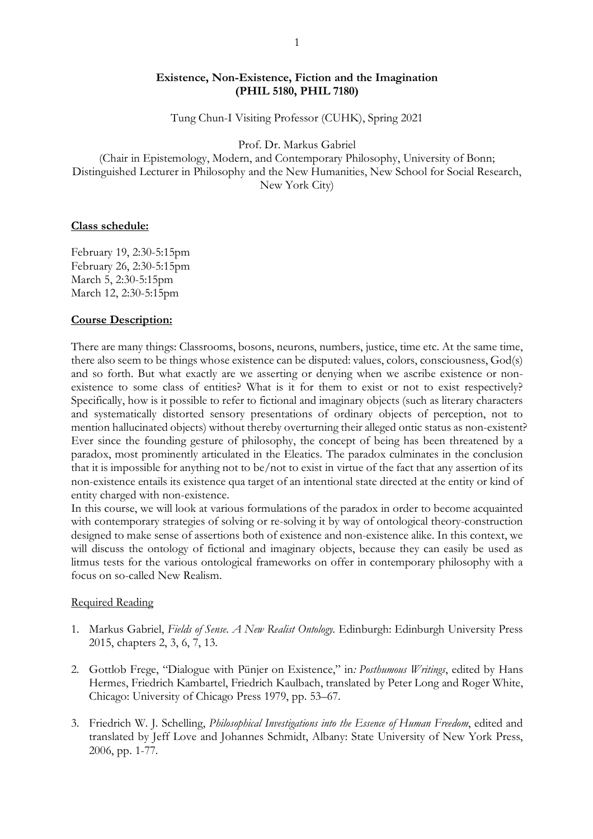### **Existence, Non-Existence, Fiction and the Imagination (PHIL 5180, PHIL 7180)**

Tung Chun-I Visiting Professor (CUHK), Spring 2021

Prof. Dr. Markus Gabriel

(Chair in Epistemology, Modern, and Contemporary Philosophy, University of Bonn; Distinguished Lecturer in Philosophy and the New Humanities, New School for Social Research, New York City)

### **Class schedule:**

February 19, 2:30-5:15pm February 26, 2:30-5:15pm March 5, 2:30-5:15pm March 12, 2:30-5:15pm

#### **Course Description:**

There are many things: Classrooms, bosons, neurons, numbers, justice, time etc. At the same time, there also seem to be things whose existence can be disputed: values, colors, consciousness, God(s) and so forth. But what exactly are we asserting or denying when we ascribe existence or nonexistence to some class of entities? What is it for them to exist or not to exist respectively? Specifically, how is it possible to refer to fictional and imaginary objects (such as literary characters and systematically distorted sensory presentations of ordinary objects of perception, not to mention hallucinated objects) without thereby overturning their alleged ontic status as non-existent? Ever since the founding gesture of philosophy, the concept of being has been threatened by a paradox, most prominently articulated in the Eleatics. The paradox culminates in the conclusion that it is impossible for anything not to be/not to exist in virtue of the fact that any assertion of its non-existence entails its existence qua target of an intentional state directed at the entity or kind of entity charged with non-existence.

In this course, we will look at various formulations of the paradox in order to become acquainted with contemporary strategies of solving or re-solving it by way of ontological theory-construction designed to make sense of assertions both of existence and non-existence alike. In this context, we will discuss the ontology of fictional and imaginary objects, because they can easily be used as litmus tests for the various ontological frameworks on offer in contemporary philosophy with a focus on so-called New Realism.

#### Required Reading

- 1. Markus Gabriel, *Fields of Sense. A New Realist Ontology.* Edinburgh: Edinburgh University Press 2015, chapters 2, 3, 6, 7, 13.
- 2. Gottlob Frege, "Dialogue with Pünjer on Existence," in*: Posthumous Writings*, edited by Hans Hermes, Friedrich Kambartel, Friedrich Kaulbach, translated by Peter Long and Roger White, Chicago: University of Chicago Press 1979, pp. 53–67.
- 3. Friedrich W. J. Schelling, *Philosophical Investigations into the Essence of Human Freedom*, edited and translated by Jeff Love and Johannes Schmidt, Albany: State University of New York Press, 2006, pp. 1-77.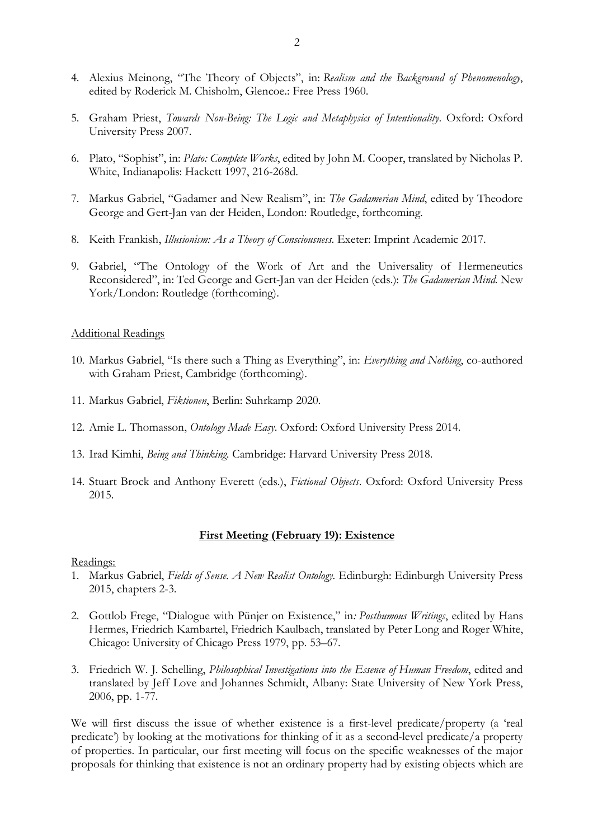- 4. Alexius Meinong, "The Theory of Objects", in: *Realism and the Background of Phenomenology*, edited by Roderick M. Chisholm, Glencoe.: Free Press 1960.
- 5. Graham Priest, *Towards Non-Being: The Logic and Metaphysics of Intentionality*. Oxford: Oxford University Press 2007.
- 6. Plato, "Sophist", in: *Plato: Complete Works*, edited by John M. Cooper, translated by Nicholas P. White, Indianapolis: Hackett 1997, 216-268d.
- 7. Markus Gabriel, "Gadamer and New Realism", in: *The Gadamerian Mind*, edited by Theodore George and Gert-Jan van der Heiden, London: Routledge, forthcoming.
- 8. Keith Frankish, *Illusionism: As a Theory of Consciousness*. Exeter: Imprint Academic 2017.
- 9. Gabriel, "The Ontology of the Work of Art and the Universality of Hermeneutics Reconsidered", in: Ted George and Gert-Jan van der Heiden (eds.): *The Gadamerian Mind.* New York/London: Routledge (forthcoming).

### Additional Readings

- 10. Markus Gabriel, "Is there such a Thing as Everything", in: *Everything and Nothing*, co-authored with Graham Priest, Cambridge (forthcoming).
- 11. Markus Gabriel, *Fiktionen*, Berlin: Suhrkamp 2020.
- 12. Amie L. Thomasson, *Ontology Made Easy*. Oxford: Oxford University Press 2014.
- 13. Irad Kimhi, *Being and Thinking*. Cambridge: Harvard University Press 2018.
- 14. Stuart Brock and Anthony Everett (eds.), *Fictional Objects*. Oxford: Oxford University Press 2015.

# **First Meeting (February 19): Existence**

#### Readings:

- 1. Markus Gabriel, *Fields of Sense. A New Realist Ontology.* Edinburgh: Edinburgh University Press 2015, chapters 2-3.
- 2. Gottlob Frege, "Dialogue with Pünjer on Existence," in*: Posthumous Writings*, edited by Hans Hermes, Friedrich Kambartel, Friedrich Kaulbach, translated by Peter Long and Roger White, Chicago: University of Chicago Press 1979, pp. 53–67.
- 3. Friedrich W. J. Schelling, *Philosophical Investigations into the Essence of Human Freedom*, edited and translated by Jeff Love and Johannes Schmidt, Albany: State University of New York Press, 2006, pp. 1-77.

We will first discuss the issue of whether existence is a first-level predicate/property (a 'real predicate') by looking at the motivations for thinking of it as a second-level predicate/a property of properties. In particular, our first meeting will focus on the specific weaknesses of the major proposals for thinking that existence is not an ordinary property had by existing objects which are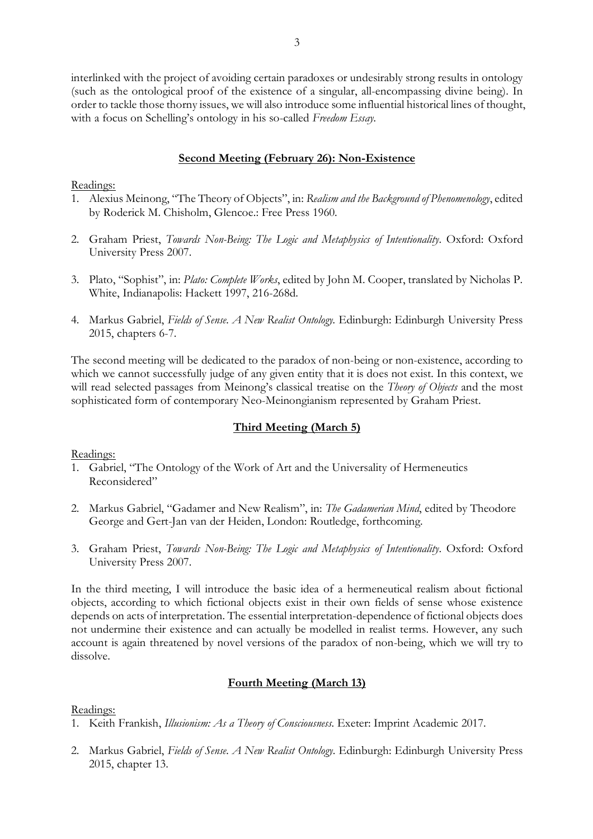interlinked with the project of avoiding certain paradoxes or undesirably strong results in ontology (such as the ontological proof of the existence of a singular, all-encompassing divine being). In order to tackle those thorny issues, we will also introduce some influential historical lines of thought, with a focus on Schelling's ontology in his so-called *Freedom Essay.*

## **Second Meeting (February 26): Non-Existence**

## Readings:

- 1. Alexius Meinong, "The Theory of Objects", in: *Realism and the Background of Phenomenology*, edited by Roderick M. Chisholm, Glencoe.: Free Press 1960.
- 2. Graham Priest, *Towards Non-Being: The Logic and Metaphysics of Intentionality*. Oxford: Oxford University Press 2007.
- 3. Plato, "Sophist", in: *Plato: Complete Works*, edited by John M. Cooper, translated by Nicholas P. White, Indianapolis: Hackett 1997, 216-268d.
- 4. Markus Gabriel, *Fields of Sense. A New Realist Ontology.* Edinburgh: Edinburgh University Press 2015, chapters 6-7.

The second meeting will be dedicated to the paradox of non-being or non-existence, according to which we cannot successfully judge of any given entity that it is does not exist. In this context, we will read selected passages from Meinong's classical treatise on the *Theory of Objects* and the most sophisticated form of contemporary Neo-Meinongianism represented by Graham Priest.

# **Third Meeting (March 5)**

Readings:

- 1. Gabriel, "The Ontology of the Work of Art and the Universality of Hermeneutics Reconsidered"
- 2. Markus Gabriel, "Gadamer and New Realism", in: *The Gadamerian Mind*, edited by Theodore George and Gert-Jan van der Heiden, London: Routledge, forthcoming.
- 3. Graham Priest, *Towards Non-Being: The Logic and Metaphysics of Intentionality*. Oxford: Oxford University Press 2007.

In the third meeting, I will introduce the basic idea of a hermeneutical realism about fictional objects, according to which fictional objects exist in their own fields of sense whose existence depends on acts of interpretation. The essential interpretation-dependence of fictional objects does not undermine their existence and can actually be modelled in realist terms. However, any such account is again threatened by novel versions of the paradox of non-being, which we will try to dissolve.

# **Fourth Meeting (March 13)**

## Readings:

- 1. Keith Frankish, *Illusionism: As a Theory of Consciousness*. Exeter: Imprint Academic 2017.
- 2. Markus Gabriel, *Fields of Sense. A New Realist Ontology*. Edinburgh: Edinburgh University Press 2015, chapter 13.